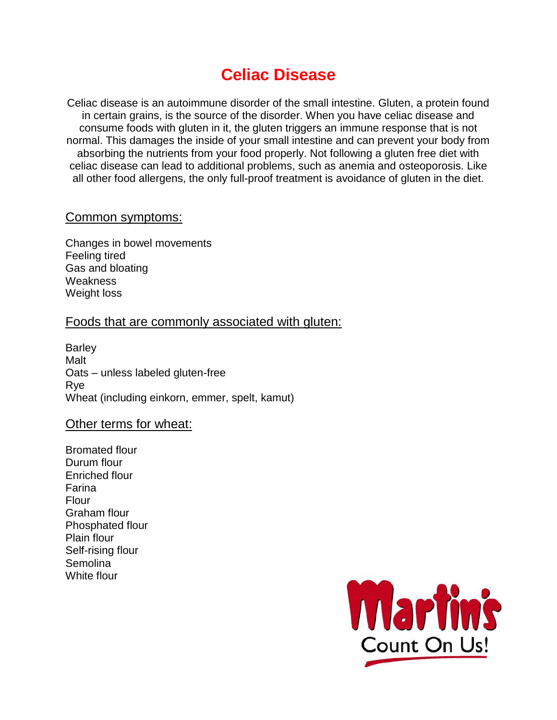# **Celiac Disease**

Celiac disease is an autoimmune disorder of the small intestine. Gluten, a protein found in certain grains, is the source of the disorder. When you have celiac disease and consume foods with gluten in it, the gluten triggers an immune response that is not normal. This damages the inside of your small intestine and can prevent your body from absorbing the nutrients from your food properly. Not following a gluten free diet with celiac disease can lead to additional problems, such as anemia and osteoporosis. Like all other food allergens, the only full-proof treatment is avoidance of gluten in the diet.

#### Common symptoms:

Changes in bowel movements Feeling tired Gas and bloating **Weakness** Weight loss

## Foods that are commonly associated with gluten:

**Barley** Malt Oats – unless labeled gluten-free Rye Wheat (including einkorn, emmer, spelt, kamut)

#### Other terms for wheat:

Bromated flour Durum flour Enriched flour Farina Flour Graham flour Phosphated flour Plain flour Self-rising flour Semolina White flour

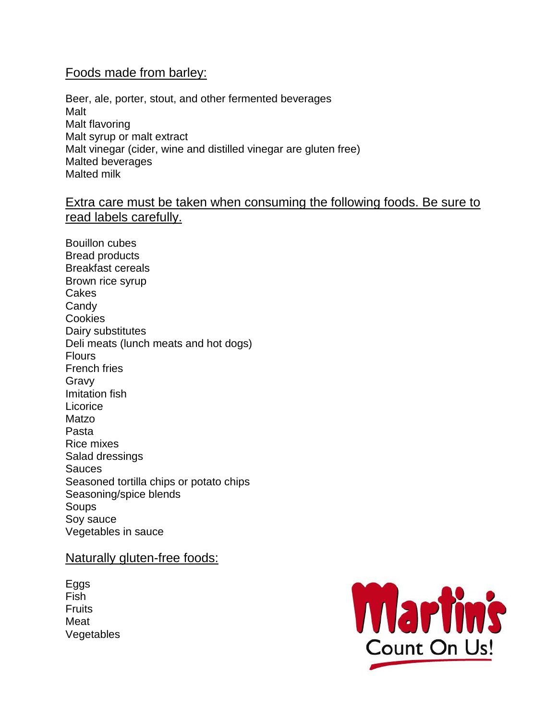## Foods made from barley:

Beer, ale, porter, stout, and other fermented beverages Malt Malt flavoring Malt syrup or malt extract Malt vinegar (cider, wine and distilled vinegar are gluten free) Malted beverages Malted milk

# Extra care must be taken when consuming the following foods. Be sure to read labels carefully.

Bouillon cubes Bread products Breakfast cereals Brown rice syrup Cakes **Candy Cookies** Dairy substitutes Deli meats (lunch meats and hot dogs) Flours French fries Gravy Imitation fish Licorice Matzo Pasta Rice mixes Salad dressings Sauces Seasoned tortilla chips or potato chips Seasoning/spice blends Soups Soy sauce Vegetables in sauce

#### Naturally gluten-free foods:

Eggs Fish **Fruits** Meat Vegetables

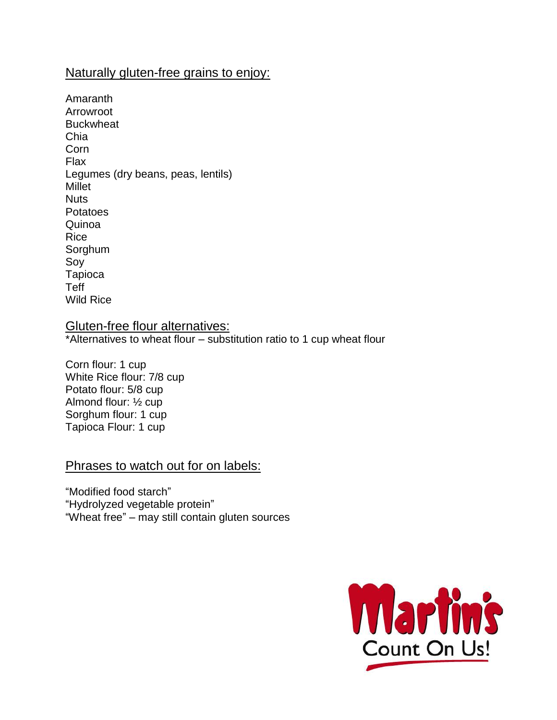# Naturally gluten-free grains to enjoy:

Amaranth Arrowroot **Buckwheat** Chia Corn Flax Legumes (dry beans, peas, lentils) Millet Nuts Potatoes Quinoa Rice Sorghum Soy Tapioca Teff Wild Rice

## Gluten-free flour alternatives:

\*Alternatives to wheat flour – substitution ratio to 1 cup wheat flour

Corn flour: 1 cup White Rice flour: 7/8 cup Potato flour: 5/8 cup Almond flour: ½ cup Sorghum flour: 1 cup Tapioca Flour: 1 cup

## Phrases to watch out for on labels:

"Modified food starch" "Hydrolyzed vegetable protein" "Wheat free" – may still contain gluten sources